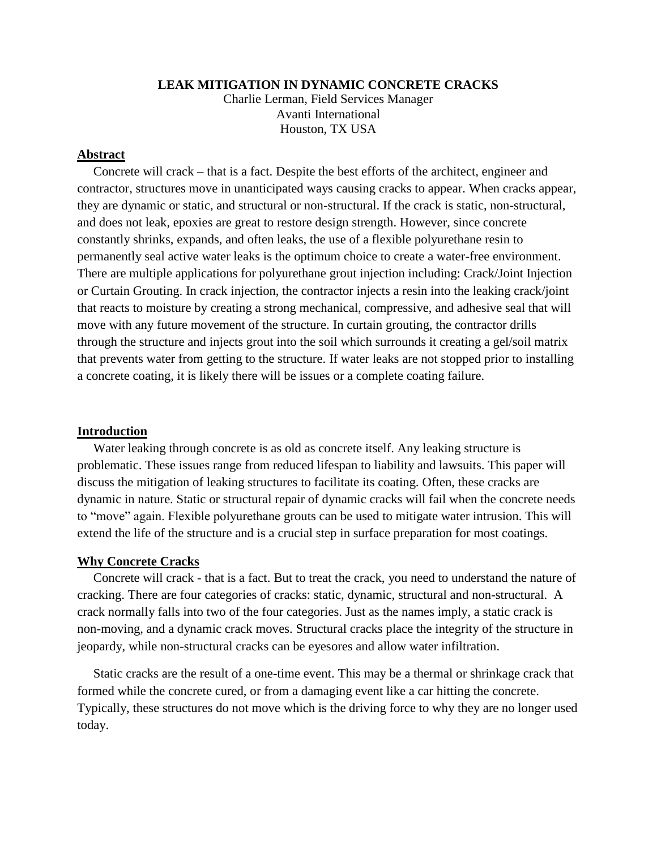#### **LEAK MITIGATION IN DYNAMIC CONCRETE CRACKS**

Charlie Lerman, Field Services Manager Avanti International Houston, TX USA

## **Abstract**

 Concrete will crack – that is a fact. Despite the best efforts of the architect, engineer and contractor, structures move in unanticipated ways causing cracks to appear. When cracks appear, they are dynamic or static, and structural or non-structural. If the crack is static, non-structural, and does not leak, epoxies are great to restore design strength. However, since concrete constantly shrinks, expands, and often leaks, the use of a flexible polyurethane resin to permanently seal active water leaks is the optimum choice to create a water-free environment. There are multiple applications for polyurethane grout injection including: Crack/Joint Injection or Curtain Grouting. In crack injection, the contractor injects a resin into the leaking crack/joint that reacts to moisture by creating a strong mechanical, compressive, and adhesive seal that will move with any future movement of the structure. In curtain grouting, the contractor drills through the structure and injects grout into the soil which surrounds it creating a gel/soil matrix that prevents water from getting to the structure. If water leaks are not stopped prior to installing a concrete coating, it is likely there will be issues or a complete coating failure.

#### **Introduction**

 Water leaking through concrete is as old as concrete itself. Any leaking structure is problematic. These issues range from reduced lifespan to liability and lawsuits. This paper will discuss the mitigation of leaking structures to facilitate its coating. Often, these cracks are dynamic in nature. Static or structural repair of dynamic cracks will fail when the concrete needs to "move" again. Flexible polyurethane grouts can be used to mitigate water intrusion. This will extend the life of the structure and is a crucial step in surface preparation for most coatings.

### **Why Concrete Cracks**

 Concrete will crack - that is a fact. But to treat the crack, you need to understand the nature of cracking. There are four categories of cracks: static, dynamic, structural and non-structural. A crack normally falls into two of the four categories. Just as the names imply, a static crack is non-moving, and a dynamic crack moves. Structural cracks place the integrity of the structure in jeopardy, while non-structural cracks can be eyesores and allow water infiltration.

 Static cracks are the result of a one-time event. This may be a thermal or shrinkage crack that formed while the concrete cured, or from a damaging event like a car hitting the concrete. Typically, these structures do not move which is the driving force to why they are no longer used today.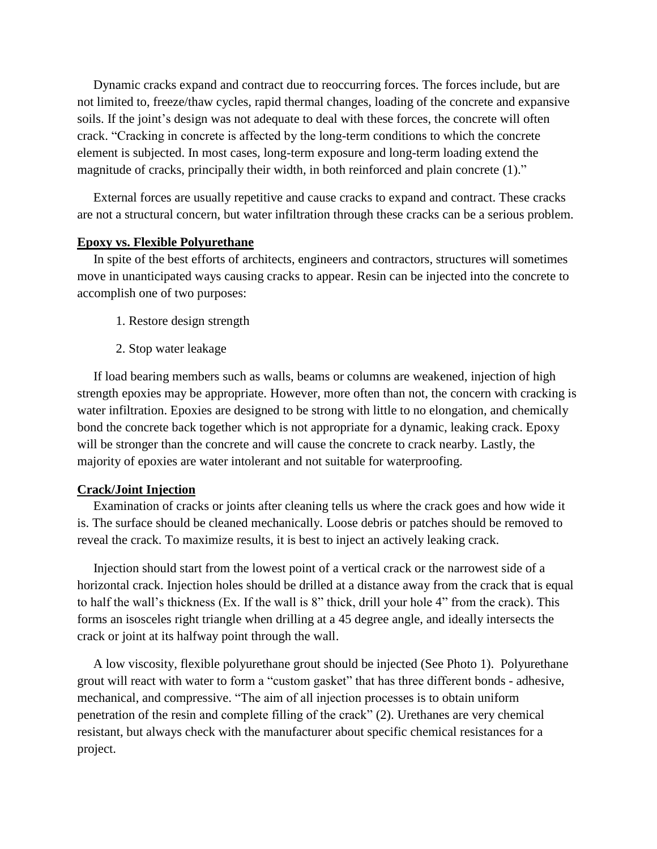Dynamic cracks expand and contract due to reoccurring forces. The forces include, but are not limited to, freeze/thaw cycles, rapid thermal changes, loading of the concrete and expansive soils. If the joint's design was not adequate to deal with these forces, the concrete will often crack. "Cracking in concrete is affected by the long-term conditions to which the concrete element is subjected. In most cases, long-term exposure and long-term loading extend the magnitude of cracks, principally their width, in both reinforced and plain concrete (1)."

 External forces are usually repetitive and cause cracks to expand and contract. These cracks are not a structural concern, but water infiltration through these cracks can be a serious problem.

### **Epoxy vs. Flexible Polyurethane**

 In spite of the best efforts of architects, engineers and contractors, structures will sometimes move in unanticipated ways causing cracks to appear. Resin can be injected into the concrete to accomplish one of two purposes:

- 1. Restore design strength
- 2. Stop water leakage

 If load bearing members such as walls, beams or columns are weakened, injection of high strength epoxies may be appropriate. However, more often than not, the concern with cracking is water infiltration. Epoxies are designed to be strong with little to no elongation, and chemically bond the concrete back together which is not appropriate for a dynamic, leaking crack. Epoxy will be stronger than the concrete and will cause the concrete to crack nearby. Lastly, the majority of epoxies are water intolerant and not suitable for waterproofing.

#### **Crack/Joint Injection**

 Examination of cracks or joints after cleaning tells us where the crack goes and how wide it is. The surface should be cleaned mechanically. Loose debris or patches should be removed to reveal the crack. To maximize results, it is best to inject an actively leaking crack.

 Injection should start from the lowest point of a vertical crack or the narrowest side of a horizontal crack. Injection holes should be drilled at a distance away from the crack that is equal to half the wall's thickness (Ex. If the wall is 8" thick, drill your hole 4" from the crack). This forms an isosceles right triangle when drilling at a 45 degree angle, and ideally intersects the crack or joint at its halfway point through the wall.

 A low viscosity, flexible polyurethane grout should be injected (See Photo 1). Polyurethane grout will react with water to form a "custom gasket" that has three different bonds - adhesive, mechanical, and compressive. "The aim of all injection processes is to obtain uniform penetration of the resin and complete filling of the crack" (2). Urethanes are very chemical resistant, but always check with the manufacturer about specific chemical resistances for a project.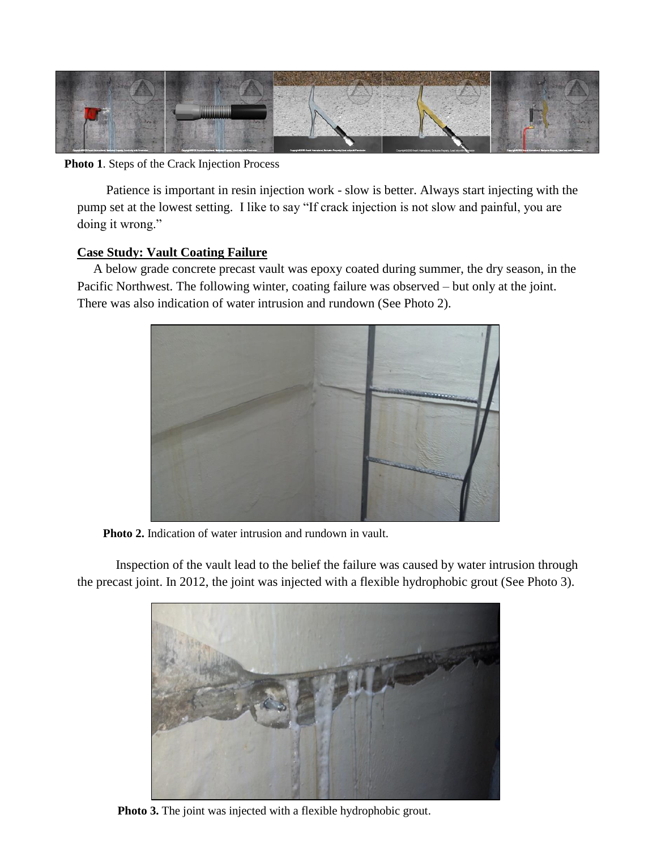

**Photo 1**. Steps of the Crack Injection Process

 Patience is important in resin injection work - slow is better. Always start injecting with the pump set at the lowest setting. I like to say "If crack injection is not slow and painful, you are doing it wrong."

# **Case Study: Vault Coating Failure**

 A below grade concrete precast vault was epoxy coated during summer, the dry season, in the Pacific Northwest. The following winter, coating failure was observed – but only at the joint. There was also indication of water intrusion and rundown (See Photo 2).



**Photo 2.** Indication of water intrusion and rundown in vault.

Inspection of the vault lead to the belief the failure was caused by water intrusion through the precast joint. In 2012, the joint was injected with a flexible hydrophobic grout (See Photo 3).



**Photo 3.** The joint was injected with a flexible hydrophobic grout.